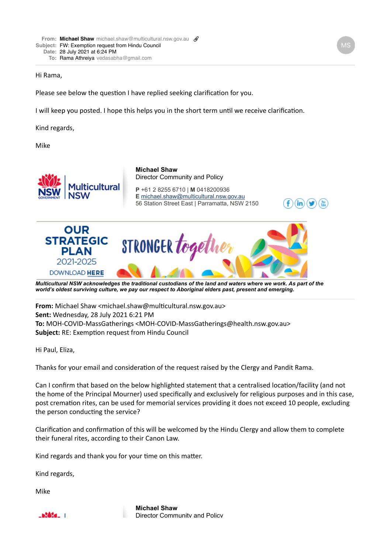## Hi Rama,

Please see below the question I have replied seeking clarification for you.

I will keep you posted. I hope this helps you in the short term until we receive clarification.

Kind regards,

Mike



*[Multicultural NSW acknowledges the traditional custodians of the land and waters where we work. As part](https://multicultural.nsw.gov.au/other-publications/strategic-plan-2021-2025) of the world's oldest surviving culture, we pay our respect to Aboriginal elders past, present and emerging.*

**From:** Michael Shaw <michael.shaw@multicultural.nsw.gov.au> **Sent:** Wednesday, 28 July 2021 6:21 PM **To:** MOH-COVID-MassGatherings <MOH-COVID-MassGatherings@health.nsw.gov.au> **Subject:** RE: Exemption request from Hindu Council

Hi Paul, Eliza,

Thanks for your email and consideration of the request raised by the Clergy and Pandit Rama.

Can I confirm that based on the below highlighted statement that a centralised location/facility (and not the home of the Principal Mourner) used specifically and exclusively for religious purposes and in this case, post cremation rites, can be used for memorial services providing it does not exceed 10 people, excluding the person conducting the service?

Clarification and confirmation of this will be welcomed by the Hindu Clergy and allow them to complete their funeral rites, according to their Canon Law.

Kind regards and thank you for your time on this matter.

Kind regards,

 $-62454 - 1$ 

Mike

[.](https://multicultural.nsw.gov.au/) **Michael Shaw** Director Community and Policy

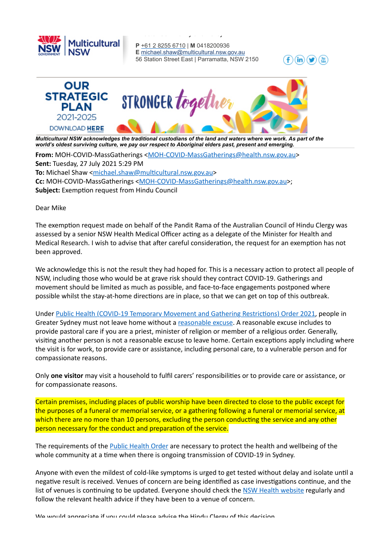

**P** [+61 2 8255 6710](tel:+61%202%208255%206710) | **M** 0418200936 **E** [michael.shaw@multicultural.nsw.gov.au](mailto:michael.shaw@multicultural.nsw.gov.au) 56 Station Street East | Parramatta, NSW 2150





Director Community and Policy

*[Multicultural NSW acknowledges the traditional custodians of the land and waters where we work. As part](https://multicultural.nsw.gov.au/other-publications/strategic-plan-2021-2025) of the world's oldest surviving culture, we pay our respect to Aboriginal elders past, present and emerging.*

**From:** MOH-COVID-MassGatherings [<MOH-COVID-MassGatherings@health.nsw.gov.au>](mailto:MOH-COVID-MassGatherings@health.nsw.gov.au) **Sent:** Tuesday, 27 July 2021 5:29 PM **To:** Michael Shaw <michael.shaw@multicultural.nsw.gov.au> **Cc:** MOH-COVID-MassGatherings < [MOH-COVID-MassGatherings@health.nsw.gov.au>](mailto:MOH-COVID-MassGatherings@health.nsw.gov.au); **Subject:** Exemption request from Hindu Council

Dear Mike

The exemption request made on behalf of the Pandit Rama of the Australian Council of Hindu Clergy was assessed by a senior NSW Health Medical Officer acting as a delegate of the Minister for Health and Medical Research. I wish to advise that after careful consideration, the request for an exemption has not been approved. 

We acknowledge this is not the result they had hoped for. This is a necessary action to protect all people of NSW, including those who would be at grave risk should they contract COVID-19. Gatherings and movement should be limited as much as possible, and face-to-face engagements postponed where possible whilst the stay-at-home directions are in place, so that we can get on top of this outbreak.

Under Public Health (COVID-19 Temporary Movement and Gathering Restrictions) Order 2021, people in Greater Sydney must not leave home without a reasonable excuse. A reasonable excuse includes to provide pastoral care if you are a priest, minister of religion or member of a religious order. Generally, visiting another person is not a reasonable excuse to leave home. Certain exceptions apply including where the visit is for work, to provide care or assistance, including personal care, to a vulnerable person and for compassionate reasons.

Only **one visitor** may visit a household to fulfil carers' responsibilities or to provide care or assistance, or for compassionate reasons.

Certain premises, including places of public worship have been directed to close to the public except for the purposes of a funeral or memorial service, or a gathering following a funeral or memorial service, at which there are no more than 10 persons, excluding the person conducting the service and any other person necessary for the conduct and preparation of the service.

The requirements of the **Public Health Order** are necessary to protect the health and wellbeing of the whole community at a time when there is ongoing transmission of COVID-19 in Sydney.

Anyone with even the mildest of cold-like symptoms is urged to get tested without delay and isolate until a negative result is received. Venues of concern are being identified as case investigations continue, and the list of venues is continuing to be updated. Everyone should check the NSW Health website regularly and follow the relevant health advice if they have been to a venue of concern.

We would appreciate if you could please advise the Hindu Clergy of this decision.